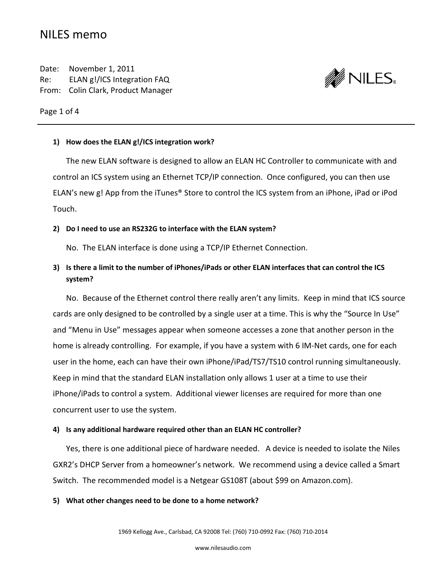# NILES memo

Date: November 1, 2011 Re: ELAN g!/ICS Integration FAQ From: Colin Clark, Product Manager



Page 1 of 4

### **1) How does the ELAN g!/ICS integration work?**

The new ELAN software is designed to allow an ELAN HC Controller to communicate with and control an ICS system using an Ethernet TCP/IP connection. Once configured, you can then use ELAN's new g! App from the iTunes® Store to control the ICS system from an iPhone, iPad or iPod Touch.

### **2) Do I need to use an RS232G to interface with the ELAN system?**

No. The ELAN interface is done using a TCP/IP Ethernet Connection.

# **3) Is there a limit to the number of iPhones/iPads or other ELAN interfaces that can control the ICS system?**

No. Because of the Ethernet control there really aren't any limits. Keep in mind that ICS source cards are only designed to be controlled by a single user at a time. This is why the "Source In Use" and "Menu in Use" messages appear when someone accesses a zone that another person in the home is already controlling. For example, if you have a system with 6 IM-Net cards, one for each user in the home, each can have their own iPhone/iPad/TS7/TS10 control running simultaneously. Keep in mind that the standard ELAN installation only allows 1 user at a time to use their iPhone/iPads to control a system. Additional viewer licenses are required for more than one concurrent user to use the system.

### **4) Is any additional hardware required other than an ELAN HC controller?**

Yes, there is one additional piece of hardware needed. A device is needed to isolate the Niles GXR2's DHCP Server from a homeowner's network. We recommend using a device called a Smart Switch. The recommended model is a Netgear GS108T (about \$99 on Amazon.com).

### **5) What other changes need to be done to a home network?**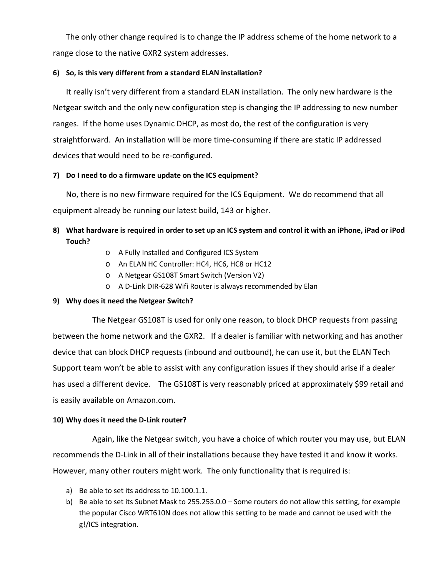The only other change required is to change the IP address scheme of the home network to a range close to the native GXR2 system addresses.

### **6) So, is this very different from a standard ELAN installation?**

It really isn't very different from a standard ELAN installation. The only new hardware is the Netgear switch and the only new configuration step is changing the IP addressing to new number ranges. If the home uses Dynamic DHCP, as most do, the rest of the configuration is very straightforward. An installation will be more time-consuming if there are static IP addressed devices that would need to be re-configured.

# **7) Do I need to do a firmware update on the ICS equipment?**

No, there is no new firmware required for the ICS Equipment. We do recommend that all equipment already be running our latest build, 143 or higher.

# **8) What hardware is required in order to set up an ICS system and control it with an iPhone, iPad or iPod Touch?**

- o A Fully Installed and Configured ICS System
- o An ELAN HC Controller: HC4, HC6, HC8 or HC12
- o A Netgear GS108T Smart Switch (Version V2)
- o A D-Link DIR-628 Wifi Router is always recommended by Elan

# **9) Why does it need the Netgear Switch?**

The Netgear GS108T is used for only one reason, to block DHCP requests from passing between the home network and the GXR2. If a dealer is familiar with networking and has another device that can block DHCP requests (inbound and outbound), he can use it, but the ELAN Tech Support team won't be able to assist with any configuration issues if they should arise if a dealer has used a different device. The GS108T is very reasonably priced at approximately \$99 retail and is easily available on Amazon.com.

# **10) Why does it need the D-Link router?**

Again, like the Netgear switch, you have a choice of which router you may use, but ELAN recommends the D-Link in all of their installations because they have tested it and know it works. However, many other routers might work. The only functionality that is required is:

- a) Be able to set its address to 10.100.1.1.
- b) Be able to set its Subnet Mask to 255.255.0.0 Some routers do not allow this setting, for example the popular Cisco WRT610N does not allow this setting to be made and cannot be used with the g!/ICS integration.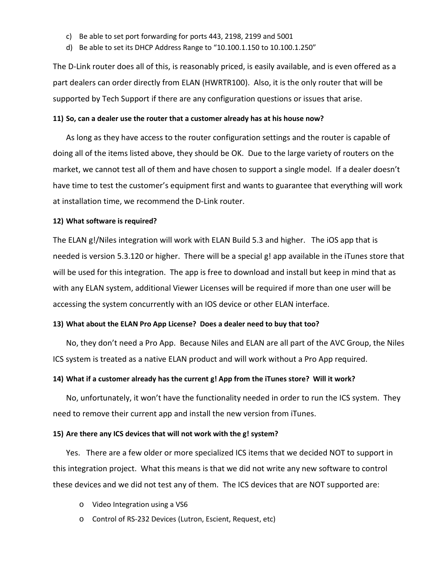- c) Be able to set port forwarding for ports 443, 2198, 2199 and 5001
- d) Be able to set its DHCP Address Range to "10.100.1.150 to 10.100.1.250"

The D-Link router does all of this, is reasonably priced, is easily available, and is even offered as a part dealers can order directly from ELAN (HWRTR100). Also, it is the only router that will be supported by Tech Support if there are any configuration questions or issues that arise.

### **11) So, can a dealer use the router that a customer already has at his house now?**

As long as they have access to the router configuration settings and the router is capable of doing all of the items listed above, they should be OK. Due to the large variety of routers on the market, we cannot test all of them and have chosen to support a single model. If a dealer doesn't have time to test the customer's equipment first and wants to guarantee that everything will work at installation time, we recommend the D-Link router.

#### **12) What software is required?**

The ELAN g!/Niles integration will work with ELAN Build 5.3 and higher. The iOS app that is needed is version 5.3.120 or higher. There will be a special g! app available in the iTunes store that will be used for this integration. The app is free to download and install but keep in mind that as with any ELAN system, additional Viewer Licenses will be required if more than one user will be accessing the system concurrently with an IOS device or other ELAN interface.

#### **13) What about the ELAN Pro App License? Does a dealer need to buy that too?**

No, they don't need a Pro App. Because Niles and ELAN are all part of the AVC Group, the Niles ICS system is treated as a native ELAN product and will work without a Pro App required.

#### **14) What if a customer already has the current g! App from the iTunes store? Will it work?**

No, unfortunately, it won't have the functionality needed in order to run the ICS system. They need to remove their current app and install the new version from iTunes.

#### **15) Are there any ICS devices that will not work with the g! system?**

Yes. There are a few older or more specialized ICS items that we decided NOT to support in this integration project. What this means is that we did not write any new software to control these devices and we did not test any of them. The ICS devices that are NOT supported are:

- o Video Integration using a VS6
- o Control of RS-232 Devices (Lutron, Escient, Request, etc)